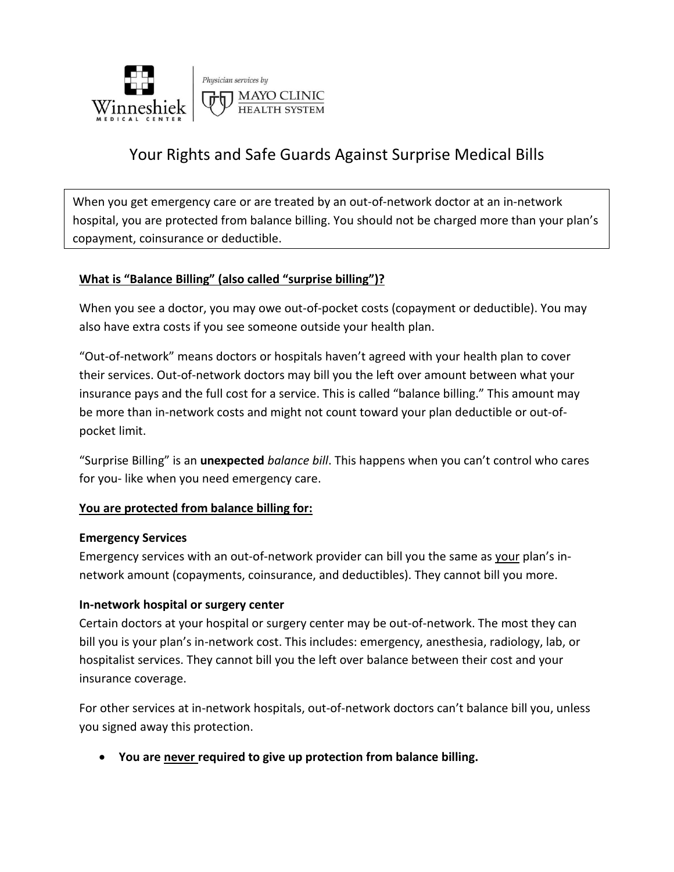

# Your Rights and Safe Guards Against Surprise Medical Bills

When you get emergency care or are treated by an out-of-network doctor at an in-network hospital, you are protected from balance billing. You should not be charged more than your plan's copayment, coinsurance or deductible.

#### **What is "Balance Billing" (also called "surprise billing")?**

When you see a doctor, you may owe out-of-pocket costs (copayment or deductible). You may also have extra costs if you see someone outside your health plan.

"Out-of-network" means doctors or hospitals haven't agreed with your health plan to cover their services. Out-of-network doctors may bill you the left over amount between what your insurance pays and the full cost for a service. This is called "balance billing." This amount may be more than in-network costs and might not count toward your plan deductible or out-ofpocket limit.

"Surprise Billing" is an **unexpected** *balance bill*. This happens when you can't control who cares for you- like when you need emergency care.

#### **You are protected from balance billing for:**

#### **Emergency Services**

Emergency services with an out-of-network provider can bill you the same as your plan's innetwork amount (copayments, coinsurance, and deductibles). They cannot bill you more.

#### **In-network hospital or surgery center**

Certain doctors at your hospital or surgery center may be out-of-network. The most they can bill you is your plan's in-network cost. This includes: emergency, anesthesia, radiology, lab, or hospitalist services. They cannot bill you the left over balance between their cost and your insurance coverage.

For other services at in-network hospitals, out-of-network doctors can't balance bill you, unless you signed away this protection.

• **You are never required to give up protection from balance billing.**